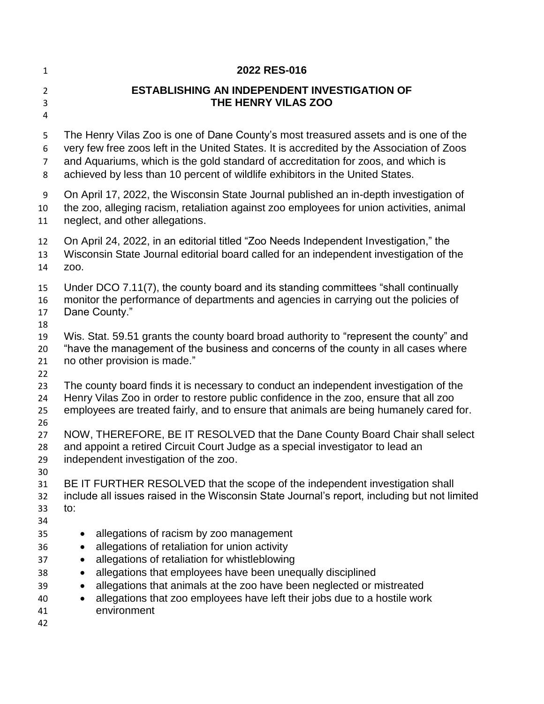| $\mathbf{1}$                                 | 2022 RES-016                                                                                                                                                                                                                                                                                                                                                                 |
|----------------------------------------------|------------------------------------------------------------------------------------------------------------------------------------------------------------------------------------------------------------------------------------------------------------------------------------------------------------------------------------------------------------------------------|
| $\overline{2}$<br>3<br>4                     | <b>ESTABLISHING AN INDEPENDENT INVESTIGATION OF</b><br>THE HENRY VILAS ZOO                                                                                                                                                                                                                                                                                                   |
| 5<br>6<br>7<br>8                             | The Henry Vilas Zoo is one of Dane County's most treasured assets and is one of the<br>very few free zoos left in the United States. It is accredited by the Association of Zoos<br>and Aquariums, which is the gold standard of accreditation for zoos, and which is<br>achieved by less than 10 percent of wildlife exhibitors in the United States.                       |
| 9<br>10<br>11                                | On April 17, 2022, the Wisconsin State Journal published an in-depth investigation of<br>the zoo, alleging racism, retaliation against zoo employees for union activities, animal<br>neglect, and other allegations.                                                                                                                                                         |
| 12<br>13<br>14                               | On April 24, 2022, in an editorial titled "Zoo Needs Independent Investigation," the<br>Wisconsin State Journal editorial board called for an independent investigation of the<br>Z00.                                                                                                                                                                                       |
| 15<br>16<br>17<br>18                         | Under DCO 7.11(7), the county board and its standing committees "shall continually<br>monitor the performance of departments and agencies in carrying out the policies of<br>Dane County."                                                                                                                                                                                   |
| 19<br>20<br>21                               | Wis. Stat. 59.51 grants the county board broad authority to "represent the county" and<br>"have the management of the business and concerns of the county in all cases where<br>no other provision is made."                                                                                                                                                                 |
| 22<br>23<br>24<br>25                         | The county board finds it is necessary to conduct an independent investigation of the<br>Henry Vilas Zoo in order to restore public confidence in the zoo, ensure that all zoo<br>employees are treated fairly, and to ensure that animals are being humanely cared for.                                                                                                     |
| 26<br>27<br>28<br>29<br>30                   | NOW, THEREFORE, BE IT RESOLVED that the Dane County Board Chair shall select<br>and appoint a retired Circuit Court Judge as a special investigator to lead an<br>independent investigation of the zoo.                                                                                                                                                                      |
| 31<br>32<br>33<br>34                         | BE IT FURTHER RESOLVED that the scope of the independent investigation shall<br>include all issues raised in the Wisconsin State Journal's report, including but not limited<br>to:                                                                                                                                                                                          |
| 35<br>36<br>37<br>38<br>39<br>40<br>41<br>42 | allegations of racism by zoo management<br>allegations of retaliation for union activity<br>allegations of retaliation for whistleblowing<br>allegations that employees have been unequally disciplined<br>allegations that animals at the zoo have been neglected or mistreated<br>allegations that zoo employees have left their jobs due to a hostile work<br>environment |